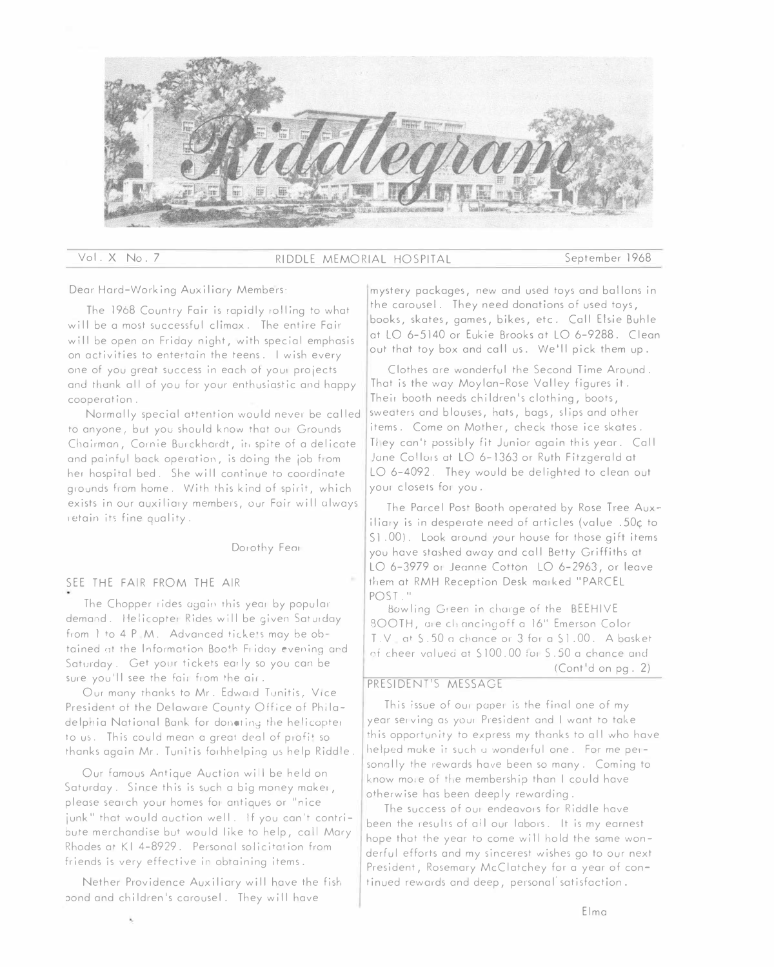

## Vol.X No.7 RIDDLE MEMORIAL HOSPITAL September 1968

Dear Hard-Working Auxiliary Members:

The 1968 Country Fair is rapidly rolling to what will be a most successful climax. The entire Fair will be open on Friday night, with special emphasis on activities to entertain the teens. I wish every one of you great success in each at you, projects and thank all of you for your enthusiastic and happy cooperation.

Normally special attention would never be called to anyone, but you should know that ou! Grounds Chairman, Cornie Burckhardt, in spite of a delicate and painful back operation, is doing the job from her hospital bed. She will continue to coordinate grounds from home. With this kind of spirit, which exists in our auxiliary members, our Fair will always ,etain its fine quality.

### Dorothy Fear

## SEE THE FAIR FROM THE AIR

The Chopper rides again this year by popular demand. Helicopter Rides will be given Saturday from 1 to 4 P.M. Advanced tickets may be obtained at the Information Booth Friday evening ard Saturday. Get your tickets early so you can be sure you'll see the fair from the air.

Our many thanks to Mr. Edward Tunitis, Vice President of the Delaware County Office of Philadelphia National Bank for donoting the helicopter to us. This could mean a great deal of profit so thanks again Mr. Tunitis forhhelping us help Riddle.

Our famous Antique Auction will be held on Saturday. Since this is such a big money maker, please search your homes for antiques or "nice junk" that would auction well. If you can't contribute merchandise but would like to help, call Mary Rhodes at KI 4-8929. Personal solicitation from friends is very effective in obtaining items.

Nether Providence Auxiliary will have the fish pond and children's carousel. They will have

mystery packages, new and used toys and ballons in the carousel. They need donations of used toys, books, skates, games, bikes, etc. Call Elsie Buhle at LO 6-5140 or Eukie Brooks at LO 6-9288. Clean out that toy box and call us. We'll pick them up.

Clothes are wonderful the Second Time Around. That is the way Moylan-Rose Valley figures it. Their booth needs children's clothing, boots, sweaters and blouses, hats, bags, slips and other items. Come on Mother, check those ice skates. They can't possibly fit Junior again this year. Call Jane Collors at LO 6-1363 or Ruth Fitzgerald at LO 6-4092. They would be delighted to clean out your closets for you.

The Parcel Post Booth operated by Rose Tree Auxiliary is in desperate need of articles (value .50c to S1.00). Look around your house for those gift items you have stashed away and coll Betty Griffiths at LO 6-3979 or Jeanne Cotton LO 6-2963, or leave them at RMH Reception Desk marked "PARCEL POST."

Bowling Green in charge of the BEEHIVE BOOTH, are climacing off a 16" Emerson Color T.V at S.50 a chance or 3 for a S1.00. A basket of cheer valued at \$100.00 for \$.50 a chance and (Cont'd on pg. 2)

## PRESIDENT'S MESSAGE

This issue of our paper is the final one of my year serving as your President and I want to take this opportunity to express my thanks to all who have helped make it such a wonderful one. For me personally the rewards have been so many. Coming to know more of the membership than I could have otherwise has been deeply rewarding.

The success of our endeavors for Riddle have been the resulis of all our labors. It is my earnest hope that the year to come will hold the same wonderful efforts and my sincerest wishes go to our next President, Rosemary McClotchey for a year of continued rewards and deep, personal'satisfaction.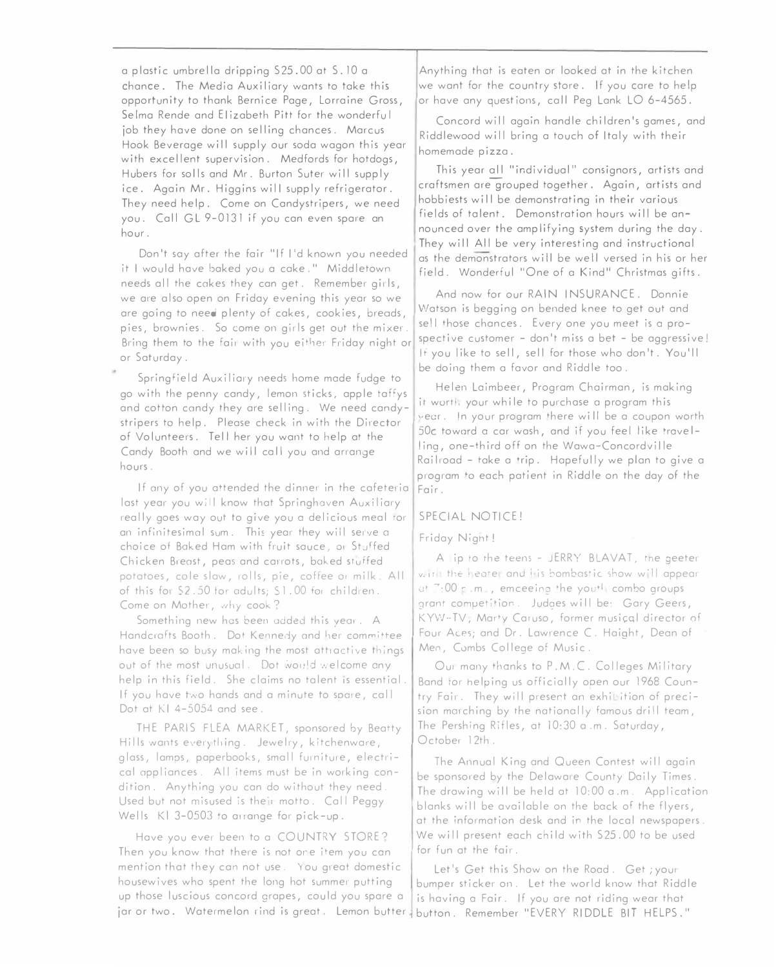a plastic umbrella dripping S25.00 at S. 10 a chance. The Media Auxiliary wants to take this opportunity to thank Bernice Page, Lorraine Gross, Selma Rende and Elizabeth Pitt for the wonderful job they have done on selling chances. Marcus Hook Beverage will supply our soda wagon this year with excellent supervision. Medfords for hotdogs, Hubers for soils and Mr. Burton Suter will supply ice. Again Mr. Higgins will supply refrigerator. They need help. Come on Candystripers, we need you. Call GL 9-0131 if you can even spare an hour.

Don't say after the fair "If I'd known you needed it I would have baked you a cake." Middletown needs all the cakes they can get. Remember girls, we are also open on Friday evening this year so we are going to need plenty of cakes, cookies, breads, <sup>p</sup>ies, brownies. So come on girls get out the mixer. Bring them to the fair with you either Friday night or or Saturday.

Springfield Auxiliary needs home mode fudge to go with the penny candy, lemon sticks, apple taffys and cotton candy they ore selling. We need candystripers ta help. Please check in with the Director of Volunteers. Tell her you want to help at the Candy Booth and we will call you and arrange hours.

If any of you attended the dinner in the cafeteria last year you will know that Springhaven Auxiliary really goes way out to give you a delicious meal for an infinitesimal sum. This year they will serve a choice of Baked Ham with fruit sauce, or Stuffed Chicken Breast, peas and carrots, baked sruffed potatoes, cole slaw, rolls, pie, coffee or milk. All of this for \$2.50 for adults; \$1.00 for children. Come on Mother, why cook?

Something new has been added this year. A Handcrafts Booth. Dot Kennedy and her committee have been so busy making the most attractive things out of the most unusual. Dot would welcome any help in this field. She claims no talent is essential. If you have two hands and a minute to spare, call Dot at  $K1$  4-5054 and see.

THE PARIS FLEA MARKET, sponsored by Beatty Hills wants everything. Jewelry, kitchenware, glass, lamps, paperbooks, small furniture, electrical appliances. All items must be in working condition. Anything you can do without they need. Used but not misused is their motto. Call Peggy Wells KI 3-0503 to arrange for pick-up.

Have you ever been to a COUNTRY STORE? Then you know that there is not one item you can mention that they can not use. You great domestic housewives who spent the long hot summer putting up those luscious concord gropes, could you spare o

Anything that is eaten or looked at in the kitchen we want for the country store. If you care to help or have any quest ions, ca 11 Peg Lank LO 6-4565.

Concord will again handle children's games, and Riddlewood will bring a touch of Italy with their homemade pizza.

This year all "individual" consignors, artists and craftsmen aregrouped together. Again, artists and hobbiests will be demonstrating in their various fields of talent. Demonstration hours will be announced over the amplifying system during the day. They will All be very interesting and instructional as the demonstrators will be well versed in his or her field. Wonderful "One of o Kind" Christmas gifts.

And now for our RAIN INSURANCE. Donnie Watson is begging on bended knee to get out and se! I those chances. Every one you meet is a prospective customer - don't miss a bet - be aggressive! If you like to sell, sell for those who don't. You'll be doing them o favor and Riddle too.

Helen Loimbeer, Program Chairman, is making it worth, your while to purchase a program this "ecr. !n your program there wi 11 be a coupon worth 50c toward a car wash, and if you feel like travelling, one-third off on the Wawa-Concordville Railroad - take a trip. Hapefully we plan to give a program to each patient in Riddle on the day of the Fair.

## SPECIAL NOTICE!

### Friday Night!

A ip ro rhe teens - JERRY BLAVAT, me geeter with the leater and its bombastic show will appear at  $7:00$  p.m., emceeing the youth combo groups grant competition. Judges will be: Gary Geers, KYW-TV, Marty Caruso, former musical director of Four Aces; and Dr. Lawrence C. Haight, Dean of Men, Combs College of Music.

Our many thanks to P.M.C. Colleges Military Band tor helping us officially open our 1968 Country Fair. They will present an exhibition of precision marching by the notionally famous drill team, The Pershing Rifles, at 10:30 o .m. Saturday, October 12th.

The Annual King and Queen Contest will again be sponsored by the Delaware County Doily Times. The drawing will be held at 10:00 o .m. Application blanks will be available on the bock of the flyers, at the information desk and in the local newspapers. We will present each child with S25.00 to be used for fun at the fair.

jar or two. Watermelon rind is great. Lemon butter button. Remember "EVERY RIDDLE BIT HELPS." Let's Get this Show on the Road. Get ; yout bumper sticker on. Let the world know that Riddle is having o Fair. If you are not riding wear that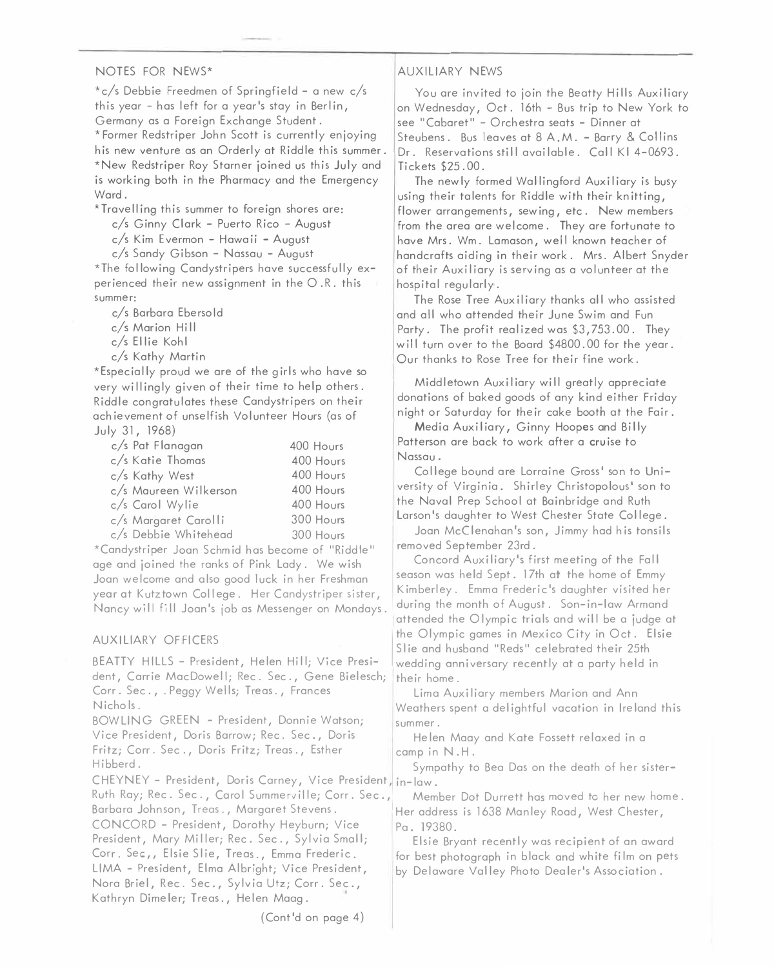### NOTES FOR NEWS\*

\*c/s Debbie Freedmen of Springfield - a new c/s this year - has left for a year's stay in Berlin, Germany as a Foreign Exchange Student. \* Former Redstriper John Scott is currently enjoying his new venture as an Orderly at Riddle this summer. \*New Redstriper Roy Starner joined us this July and is working both in the Pharmacy and the Emergency Ward.

\*Travelling this summer to foreign shores are:

c/s Ginny Clark - Puerto Rico - August

c/s Kim Evermon - Hawaii - August

c/s Sandy Gibson - Nassau - August

\*The following Candystripers have successfully experienced their new assignment in the O .R. this summer:

c/s Barbara Eberso Id

c/s Marion Hill

c/s Ellie Kohl

c/s Kathy Martin

\*Especially proud we are of the girls who have so very willingly given of their time to help others. Riddle congratulates these Candystripers on their achievement of unselfish Volunteer Hours (as of July 31, 1968)

| c/s Pat Flanagan      | 400 Hours |
|-----------------------|-----------|
| c/s Katie Thomas      | 400 Hours |
| c/s Kathy West        | 400 Hours |
| c/s Maureen Wilkerson | 400 Hours |
| c/s Carol Wylie       | 400 Hours |
| c/s Margaret Carolli  | 300 Hours |
| c/s Debbie Whitehead  | 300 Hours |

\*Candystriper Joan Schmid has become of "Riddle" age and joined the ranks of Pink Lady. We wish Joan welcome and also good luck in her Freshman season was held Sept. 17th at the home of Emmy<br>were at Kutzteum Colloge. Her Canductriner sister Kimberley. Emma Frederic's daughter visited her year at Kutztown College. Her Candystriper sister, Minimberley. Emma Frederic's daughter visited her<br>Nanov will fill Joan's job as Messenger on Mondays and during the month of August. Son-in-law Armand

dent, Carrie MacDowell; Rec. Sec., Gene Bielesch; their home. Corr. Sec., .Peggy Wells; Treas., Frances Lima Auxiliary members Marion and Ann

BOWLING GREEN - President, Donnie Watson; summer. Vice President, Doris Barrow; Rec. Sec., Doris Helen Maay and Kate Fossett relaxed in a Fritz; Corr. Sec., Doris Fritz; Treas., Esther camp in N.H.<br>Hibberd. campathy to

CHEYNEY - President, Doris Carney, Vice President, in-law. Ruth Ray; Rec. Sec., Carol Summerville; Corr. Sec., Member Dot Durrett has moved to her new home. Barbara Johnson, Treas., Margaret Stevens. 1988 Her address is 1638 Manley Road, West Chester, CONCORD - President, Dorothy Heyburn; Vice Pa. 19380. President, Mary Miller; Rec. Sec., Sylvia Small; Elsie Bryant recently was recipient of an award<br>Corr. Sec., Elsie Slie, Treas., Emma Frederic. for hest photograph in black and white film on pet: Corr. Sec,, Elsie Slie, Treas., Emma Frederic. For best photograph in black and white film on pets<br>LIMA – President, Elma Albright; Vice President, For Delaware Valley Photo Dealer's Association. Nora Briel, Rec. Sec., Sylvia Utz; Corr. Sec., Kathryn Dimeler; Treas., Helen Maag.

### AUXILIARY NEWS

You are invited to join the Beatty Hills Auxiliary on Wednesday, Oct. 16th - Bus trip to New York to see "Cabaret" - Orchestra seats - Dinner at Steubens. Bus leaves at 8 A.M. - Barry & Collins Dr. Reservations still available. Call Kl 4-0693. Tickets \$25.00.

The newly formed Wallingford Auxiliary is busy using their talents for Riddle with their knitting, flower arrangements, sewing, etc. New members from the area are welcome. They are fortunate to have Mrs. Wm. Lamason, well known teacher of handcrafts aiding in their work. Mrs. Albert Snyder of their Auxiliary is serving as a volunteer at the hospital regularly.

The Rose Tree Auxiliary thanks all who assisted and all who attended their June Swim and Fun Party. The profit realized was \$3,753.00. They will turn over to the Board \$4800.00 for the year. 0 ur thanks to Rose Tree for their fine work .

Middletown Auxiliary will greatly appreciate donations of baked goods of any kind either Friday night or Saturday for their cake booth at the Fair.

Media Auxiliary, Ginny Hoopes and Billy Patterson are back to work after a cruise to Nassau.

College bound are Lorraine Gross' son to University of Virginia. Shirley Christopolous' son to the Naval Prep School at Bainbridge and Ruth Larson's daughter to West Chester State College.

Joan McClenahan's son, Jimmy had his tonsils removed September 23rd.

Concord Auxiliary's first meeting of the Fall year at Nutztown Cottege. Ther Canaystriper sister,<br>Nancy will fill Joan's job as Messenger on Mondays. during the month of August. Son-in-law Armand attended the Olympic trials and will be a judge at AUXILIARY OFFICERS<br>BEATTY HILLS - President, Helen Hill; Vice Presi- Slie and husband "Reds" celebrated their 25th<br>wedding anniversary recently at a party held in Slie and husband "Reds" celebrated their 25th

Nichols. Weathers spent a delightful vacation in Ireland this

Sympathy to Bea Das on the death of her sister-

by Delaware Valley Photo Dealer's Association.

(Cont'd on page 4)